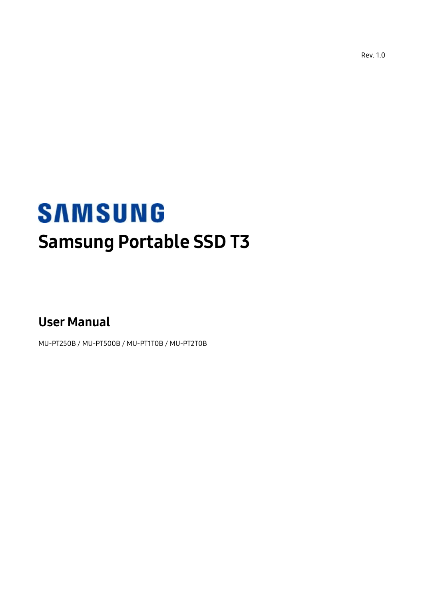Rev. 1.0

# **SAMSUNG** Samsung Portable SSD T3

User Manual

MU-PT250B / MU-PT500B / MU-PT1T0B / MU-PT2T0B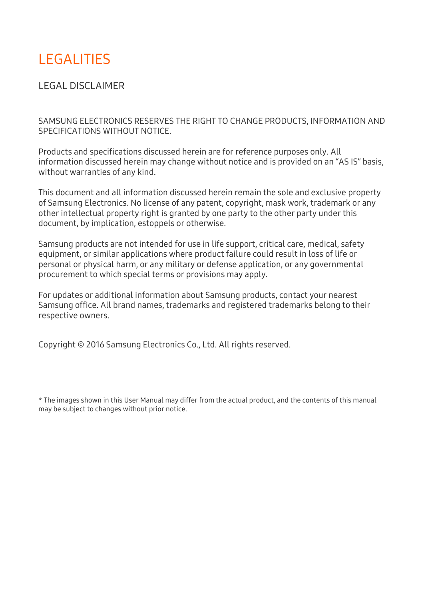## LEGALITIES

LEGAL DISCLAIMER

SAMSUNG ELECTRONICS RESERVES THE RIGHT TO CHANGE PRODUCTS, INFORMATION AND SPECIFICATIONS WITHOUT NOTICE.

Products and specifications discussed herein are for reference purposes only. All information discussed herein may change without notice and is provided on an "AS IS" basis, without warranties of any kind.

This document and all information discussed herein remain the sole and exclusive property of Samsung Electronics. No license of any patent, copyright, mask work, trademark or any other intellectual property right is granted by one party to the other party under this document, by implication, estoppels or otherwise.

Samsung products are not intended for use in life support, critical care, medical, safety equipment, or similar applications where product failure could result in loss of life or personal or physical harm, or any military or defense application, or any governmental procurement to which special terms or provisions may apply.

For updates or additional information about Samsung products, contact your nearest Samsung office. All brand names, trademarks and registered trademarks belong to their respective owners.

Copyright © 2016 Samsung Electronics Co., Ltd. All rights reserved.

\* The images shown in this User Manual may differ from the actual product, and the contents of this manual may be subject to changes without prior notice.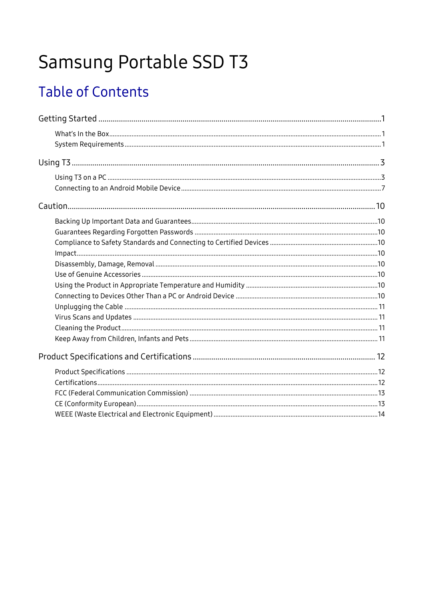# Samsung Portable SSD T3

# **Table of Contents**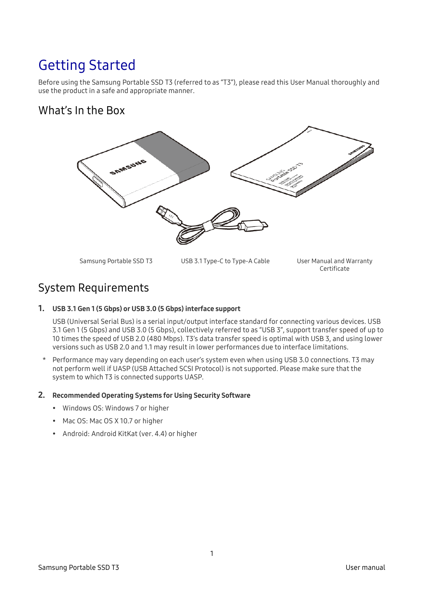## <span id="page-3-0"></span>Getting Started

Before using the Samsung Portable SSD T3 (referred to as "T3"), please read this User Manual thoroughly and use the product in a safe and appropriate manner.

### <span id="page-3-1"></span>What's In the Box



Samsung Portable SSD T3 USB 3.1 Type-C to Type-A Cable User Manual and Warranty

Certificate

### <span id="page-3-2"></span>System Requirements

1. USB 3.1 Gen 1 (5 Gbps) or USB 3.0 (5 Gbps) interface support

USB (Universal Serial Bus) is a serial input/output interface standard for connecting various devices. USB 3.1 Gen 1 (5 Gbps) and USB 3.0 (5 Gbps), collectively referred to as "USB 3", support transfer speed of up to 10 times the speed of USB 2.0 (480 Mbps). T3's data transfer speed is optimal with USB 3, and using lower versions such as USB 2.0 and 1.1 may result in lower performances due to interface limitations.

\* Performance may vary depending on each user's system even when using USB 3.0 connections. T3 may not perform well if UASP (USB Attached SCSI Protocol) is not supported. Please make sure that the system to which T3 is connected supports UASP.

#### 2. Recommended Operating Systems for Using Security Software

- Windows OS: Windows 7 or higher
- Mac OS: Mac OS X 10.7 or higher
- Android: Android KitKat (ver. 4.4) or higher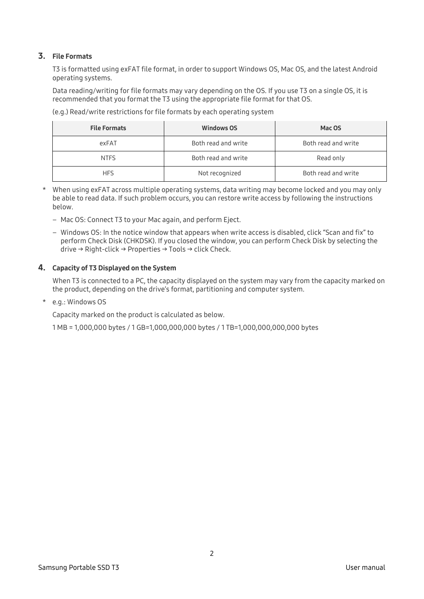#### 3. File Formats

T3 is formatted using exFAT file format, in order to support Windows OS, Mac OS, and the latest Android operating systems.

Data reading/writing for file formats may vary depending on the OS. If you use T3 on a single OS, it is recommended that you format the T3 using the appropriate file format for that OS.

(e.g.) Read/write restrictions for file formats by each operating system

| <b>File Formats</b> | <b>Windows OS</b>   | Mac OS              |
|---------------------|---------------------|---------------------|
| exFAT               | Both read and write | Both read and write |
| <b>NTFS</b>         | Both read and write | Read only           |
| <b>HFS</b>          | Not recognized      | Both read and write |

- \* When using exFAT across multiple operating systems, data writing may become locked and you may only be able to read data. If such problem occurs, you can restore write access by following the instructions below.
	- Mac OS: Connect T3 to your Mac again, and perform Eject.
	- Windows OS: In the notice window that appears when write access is disabled, click "Scan and fix" to perform Check Disk (CHKDSK). If you closed the window, you can perform Check Disk by selecting the drive → Right-click → Properties → Tools → click Check.

#### 4. Capacity of T3 Displayed on the System

When T3 is connected to a PC, the capacity displayed on the system may vary from the capacity marked on the product, depending on the drive's format, partitioning and computer system.

\* e.g.: Windows OS

Capacity marked on the product is calculated as below.

1 MB = 1,000,000 bytes / 1 GB=1,000,000,000 bytes / 1 TB=1,000,000,000,000 bytes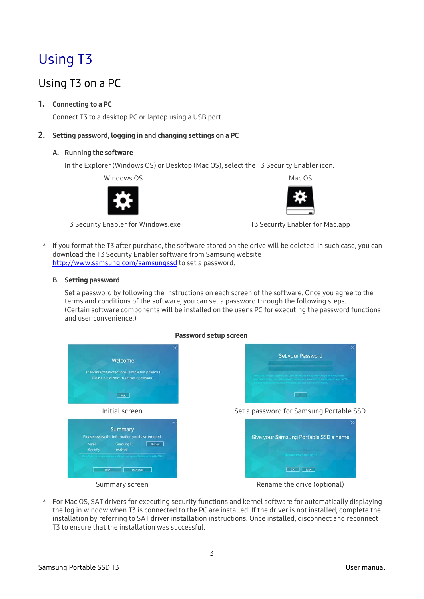# <span id="page-5-0"></span>Using T3

### <span id="page-5-1"></span>Using T3 on a PC

#### 1. Connecting to a PC

Connect T3 to a desktop PC or laptop using a USB port.

#### 2. Setting password, logging in and changing settings on a PC

#### A. Running the software

In the Explorer (Windows OS) or Desktop (Mac OS), select the T3 Security Enabler icon.

Windows OS 2008 2009 12:00 Mac OS



T3 Security Enabler for Windows.exe T3 Security Enabler for Mac.app



\* If you format the T3 after purchase, the software stored on the drive will be deleted. In such case, you can download the T3 Security Enabler software from Samsung website <http://www.samsung.com/samsungssd> to set a password.

#### B. Setting password

Set a password by following the instructions on each screen of the software. Once you agree to the terms and conditions of the software, you can set a password through the following steps. (Certain software components will be installed on the user's PC for executing the password functions and user convenience.)



For Mac OS, SAT drivers for executing security functions and kernel software for automatically displaying the log in window when T3 is connected to the PC are installed. If the driver is not installed, complete the installation by referring to SAT driver installation instructions. Once installed, disconnect and reconnect T3 to ensure that the installation was successful.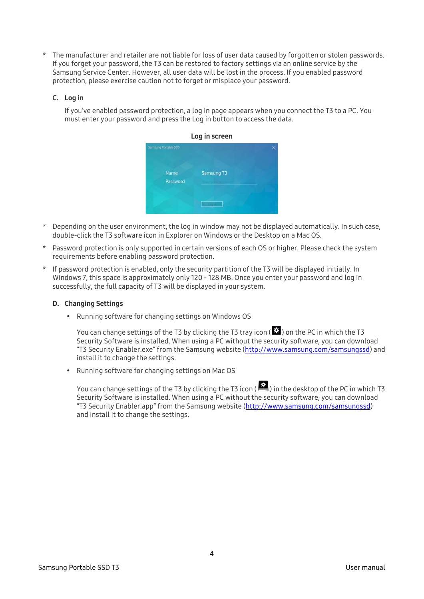The manufacturer and retailer are not liable for loss of user data caused by forgotten or stolen passwords. If you forget your password, the T3 can be restored to factory settings via an online service by the Samsung Service Center. However, all user data will be lost in the process. If you enabled password protection, please exercise caution not to forget or misplace your password.

#### C. Log in

If you've enabled password protection, a log in page appears when you connect the T3 to a PC. You must enter your password and press the Log in button to access the data.



- \* Depending on the user environment, the log in window may not be displayed automatically. In such case, double-click the T3 software icon in Explorer on Windows or the Desktop on a Mac OS.
- \* Password protection is only supported in certain versions of each OS or higher. Please check the system requirements before enabling password protection.
- \* If password protection is enabled, only the security partition of the T3 will be displayed initially. In Windows 7, this space is approximately only 120 - 128 MB. Once you enter your password and log in successfully, the full capacity of T3 will be displayed in your system.

#### D. Changing Settings

• Running software for changing settings on Windows OS

You can change settings of the T3 by clicking the T3 tray icon ( $\Box$ ) on the PC in which the T3 Security Software is installed. When using a PC without the security software, you can download "T3 Security Enabler.exe" from the Samsung website [\(http://www.samsung.com/samsungssd\)](http://www.samsung.com/samsungssd) and install it to change the settings.

Running software for changing settings on Mac OS

You can change settings of the T3 by clicking the T3 icon ( $\ddot{\bullet}$ ) in the desktop of the PC in which T3 Security Software is installed. When using a PC without the security software, you can download "T3 Security Enabler.app" from the Samsung website [\(http://www.samsung.com/samsungssd\)](http://www.samsung.com/samsungssd) and install it to change the settings.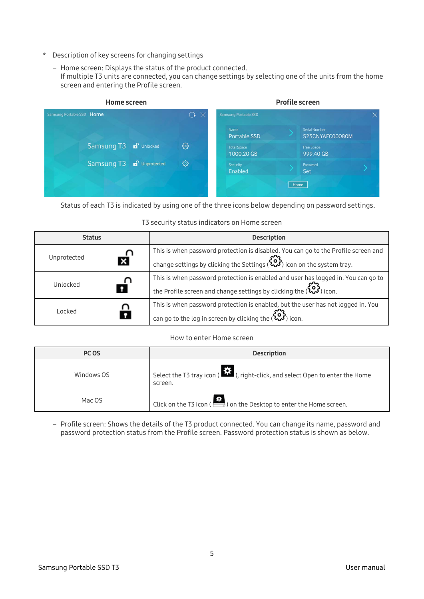- \* Description of key screens for changing settings
	- Home screen: Displays the status of the product connected. If multiple T3 units are connected, you can change settings by selecting one of the units from the home screen and entering the Profile screen.



Status of each T3 is indicated by using one of the three icons below depending on password settings.

#### T3 security status indicators on Home screen

| <b>Status</b> |          | <b>Description</b>                                                                                                                                                                            |  |
|---------------|----------|-----------------------------------------------------------------------------------------------------------------------------------------------------------------------------------------------|--|
| Unprotected   | <b>E</b> | This is when password protection is disabled. You can go to the Profile screen and<br>change settings by clicking the Settings ( $\mathcal{L}_{\bullet}^{\bullet}$ ) icon on the system tray. |  |
| Unlocked      | nî       | This is when password protection is enabled and user has logged in. You can go to<br>the Profile screen and change settings by clicking the ( $\mathbb{C}$ ) icon.                            |  |
| Locked        |          | This is when password protection is enabled, but the user has not logged in. You<br>can go to the log in screen by clicking the ( <a> (<a> <a>icon.</a></a></a>                               |  |

#### How to enter Home screen

| PC OS      | <b>Description</b>                                                                                          |
|------------|-------------------------------------------------------------------------------------------------------------|
| Windows OS | Select the T3 tray icon ( $\overrightarrow{11}$ , right-click, and select Open to enter the Home<br>screen. |
| Mac OS     | Click on the T3 icon ( $\sum$ ) on the Desktop to enter the Home screen.                                    |

– Profile screen: Shows the details of the T3 product connected. You can change its name, password and password protection status from the Profile screen. Password protection status is shown as below.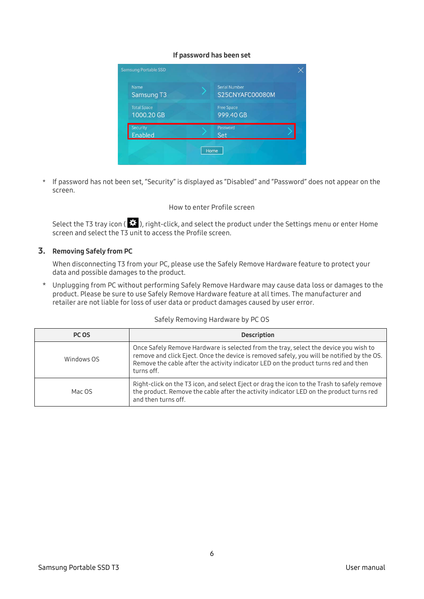#### If password has been set

| Name<br>Samsung T3                | <b>Serial Number</b><br>S25CNYAFC00080M |  |
|-----------------------------------|-----------------------------------------|--|
| <b>Total Space</b><br>1000.20 GB  | <b>Free Space</b><br>999.40 GB          |  |
| <b>Security</b><br><b>Enabled</b> | Password<br>Set                         |  |

\* If password has not been set, "Security" is displayed as "Disabled" and "Password" does not appear on the screen.

#### How to enter Profile screen

Select the T3 tray icon ( $\ddot{\ddot{\Sigma}}$ ), right-click, and select the product under the Settings menu or enter Home screen and select the T3 unit to access the Profile screen.

#### 3. Removing Safely from PC

When disconnecting T3 from your PC, please use the Safely Remove Hardware feature to protect your data and possible damages to the product.

\* Unplugging from PC without performing Safely Remove Hardware may cause data loss or damages to the product. Please be sure to use Safely Remove Hardware feature at all times. The manufacturer and retailer are not liable for loss of user data or product damages caused by user error.

#### Safely Removing Hardware by PC OS

| PC OS      | <b>Description</b>                                                                                                                                                                                                                                                                      |
|------------|-----------------------------------------------------------------------------------------------------------------------------------------------------------------------------------------------------------------------------------------------------------------------------------------|
| Windows OS | Once Safely Remove Hardware is selected from the tray, select the device you wish to<br>remove and click Eject. Once the device is removed safely, you will be notified by the OS.<br>Remove the cable after the activity indicator LED on the product turns red and then<br>turns off. |
| Mac OS     | Right-click on the T3 icon, and select Eject or drag the icon to the Trash to safely remove<br>the product. Remove the cable after the activity indicator LED on the product turns red<br>and then turns off.                                                                           |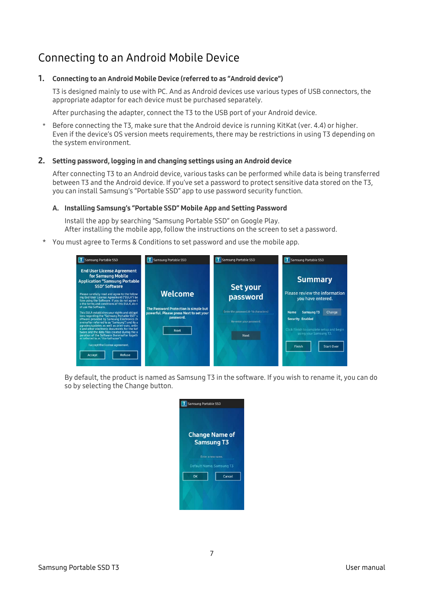### <span id="page-9-0"></span>Connecting to an Android Mobile Device

#### 1. Connecting to an Android Mobile Device (referred to as "Android device")

T3 is designed mainly to use with PC. And as Android devices use various types of USB connectors, the appropriate adaptor for each device must be purchased separately.

After purchasing the adapter, connect the T3 to the USB port of your Android device.

\* Before connecting the T3, make sure that the Android device is running KitKat (ver. 4.4) or higher. Even if the device's OS version meets requirements, there may be restrictions in using T3 depending on the system environment.

#### 2. Setting password, logging in and changing settings using an Android device

After connecting T3 to an Android device, various tasks can be performed while data is being transferred between T3 and the Android device. If you've set a password to protect sensitive data stored on the T3, you can install Samsung's "Portable SSD" app to use password security function.

#### A. Installing Samsung's "Portable SSD" Mobile App and Setting Password

Install the app by searching "Samsung Portable SSD" on Google Play. After installing the mobile app, follow the instructions on the screen to set a password.

You must agree to Terms & Conditions to set password and use the mobile app.

| Samsung Portable SSD                                                                                                                                                                                                                                                                                                      | Samsung Portable SSD                                                                          | Samsung Portable SSD                                            | T Samsung Portable SSD                                                |
|---------------------------------------------------------------------------------------------------------------------------------------------------------------------------------------------------------------------------------------------------------------------------------------------------------------------------|-----------------------------------------------------------------------------------------------|-----------------------------------------------------------------|-----------------------------------------------------------------------|
| <b>End User License Agreement</b><br>for Samsung Mobile<br><b>Application "Samsung Portable</b><br><b>SSD" Software</b><br>Please carefully read and agree to the follow<br>ing End User License Agreement ("EULA") be<br>fore using the Software. If you do not agree t<br>o the terms and conditions of this EULA, do n | <b>Welcome</b>                                                                                | Set your<br>password                                            | <b>Summary</b><br>Please review the information<br>you have entered.  |
| ot use the Software.<br>This EULA establishes your rights and obligat<br>ions regarding the "Samsung Portable SSD" s<br>oftware provided by Samsung Electronics (h<br>ereinafter referred to as "Samsung") and its u                                                                                                      | The Password Protection is simple but<br>powerful. Please press Next to set your<br>password. | Enter the password.(4~16 characters)<br>Re-enter your password. | <b>Samsung T3</b><br>Change<br><b>Name</b><br><b>Security Enabled</b> |
| pgrades/updates as well as print-outs, onlin<br>e and other electronic documents for the Sof<br>tware and the data files created during the o<br>peration of the Software (hereinafter togeth<br>er referred to as "the Software")                                                                                        | <b>Next</b>                                                                                   | <b>Next</b>                                                     | Click Finish to complete setup and begin<br>using your Samsung T3.    |
| I accept the license agreement.<br>Refuse<br>Accept                                                                                                                                                                                                                                                                       |                                                                                               |                                                                 | Finish<br><b>Start Over</b>                                           |

By default, the product is named as Samsung T3 in the software. If you wish to rename it, you can do so by selecting the Change button.

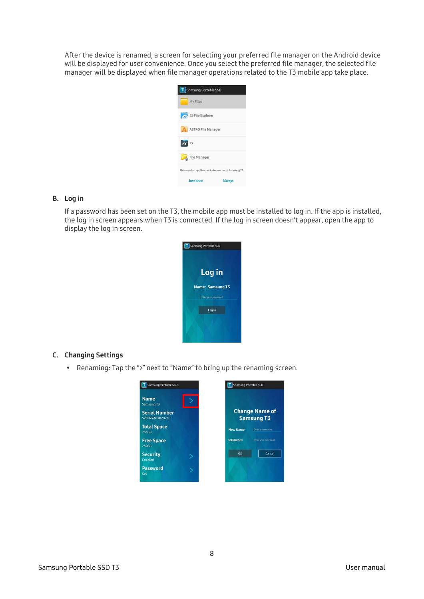After the device is renamed, a screen for selecting your preferred file manager on the Android device will be displayed for user convenience. Once you select the preferred file manager, the selected file manager will be displayed when file manager operations related to the T3 mobile app take place.



#### B. Log in

If a password has been set on the T3, the mobile app must be installed to log in. If the app is installed, the log in screen appears when T3 is connected. If the log in screen doesn't appear, open the app to display the log in screen.



#### C. Changing Settings

Renaming: Tap the ">" next to "Name" to bring up the renaming screen.

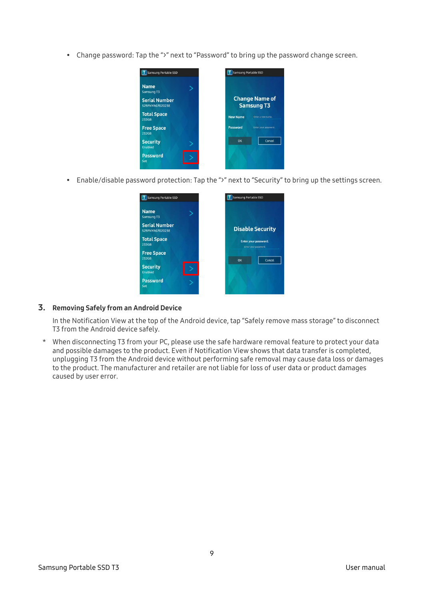Change password: Tap the ">" next to "Password" to bring up the password change screen.



Enable/disable password protection: Tap the ">" next to "Security" to bring up the settings screen.



#### 3. Removing Safely from an Android Device

In the Notification View at the top of the Android device, tap "Safely remove mass storage" to disconnect T3 from the Android device safely.

\* When disconnecting T3 from your PC, please use the safe hardware removal feature to protect your data and possible damages to the product. Even if Notification View shows that data transfer is completed, unplugging T3 from the Android device without performing safe removal may cause data loss or damages to the product. The manufacturer and retailer are not liable for loss of user data or product damages caused by user error.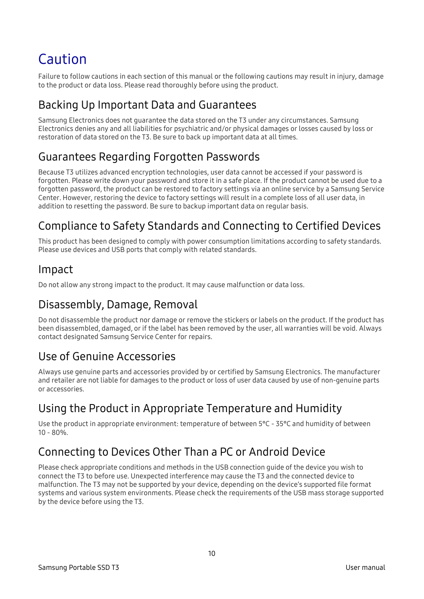# <span id="page-12-0"></span>Caution

Failure to follow cautions in each section of this manual or the following cautions may result in injury, damage to the product or data loss. Please read thoroughly before using the product.

### <span id="page-12-1"></span>Backing Up Important Data and Guarantees

Samsung Electronics does not guarantee the data stored on the T3 under any circumstances. Samsung Electronics denies any and all liabilities for psychiatric and/or physical damages or losses caused by loss or restoration of data stored on the T3. Be sure to back up important data at all times.

### <span id="page-12-2"></span>Guarantees Regarding Forgotten Passwords

Because T3 utilizes advanced encryption technologies, user data cannot be accessed if your password is forgotten. Please write down your password and store it in a safe place. If the product cannot be used due to a forgotten password, the product can be restored to factory settings via an online service by a Samsung Service Center. However, restoring the device to factory settings will result in a complete loss of all user data, in addition to resetting the password. Be sure to backup important data on regular basis.

### <span id="page-12-3"></span>Compliance to Safety Standards and Connecting to Certified Devices

This product has been designed to comply with power consumption limitations according to safety standards. Please use devices and USB ports that comply with related standards.

### <span id="page-12-4"></span>Impact

Do not allow any strong impact to the product. It may cause malfunction or data loss.

### <span id="page-12-5"></span>Disassembly, Damage, Removal

Do not disassemble the product nor damage or remove the stickers or labels on the product. If the product has been disassembled, damaged, or if the label has been removed by the user, all warranties will be void. Always contact designated Samsung Service Center for repairs.

### <span id="page-12-6"></span>Use of Genuine Accessories

Always use genuine parts and accessories provided by or certified by Samsung Electronics. The manufacturer and retailer are not liable for damages to the product or loss of user data caused by use of non-genuine parts or accessories.

### <span id="page-12-7"></span>Using the Product in Appropriate Temperature and Humidity

Use the product in appropriate environment: temperature of between 5°C - 35°C and humidity of between  $10 - 80\%$ 

### <span id="page-12-8"></span>Connecting to Devices Other Than a PC or Android Device

Please check appropriate conditions and methods in the USB connection guide of the device you wish to connect the T3 to before use. Unexpected interference may cause the T3 and the connected device to malfunction. The T3 may not be supported by your device, depending on the device's supported file format systems and various system environments. Please check the requirements of the USB mass storage supported by the device before using the T3.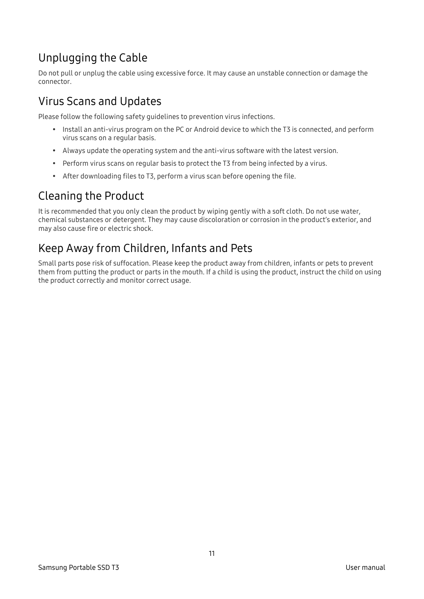### <span id="page-13-0"></span>Unplugging the Cable

Do not pull or unplug the cable using excessive force. It may cause an unstable connection or damage the connector.

### <span id="page-13-1"></span>Virus Scans and Updates

Please follow the following safety guidelines to prevention virus infections.

- Install an anti-virus program on the PC or Android device to which the T3 is connected, and perform virus scans on a regular basis.
- Always update the operating system and the anti-virus software with the latest version.
- Perform virus scans on regular basis to protect the T3 from being infected by a virus.
- After downloading files to T3, perform a virus scan before opening the file.

### <span id="page-13-2"></span>Cleaning the Product

It is recommended that you only clean the product by wiping gently with a soft cloth. Do not use water, chemical substances or detergent. They may cause discoloration or corrosion in the product's exterior, and may also cause fire or electric shock.

### <span id="page-13-3"></span>Keep Away from Children, Infants and Pets

Small parts pose risk of suffocation. Please keep the product away from children, infants or pets to prevent them from putting the product or parts in the mouth. If a child is using the product, instruct the child on using the product correctly and monitor correct usage.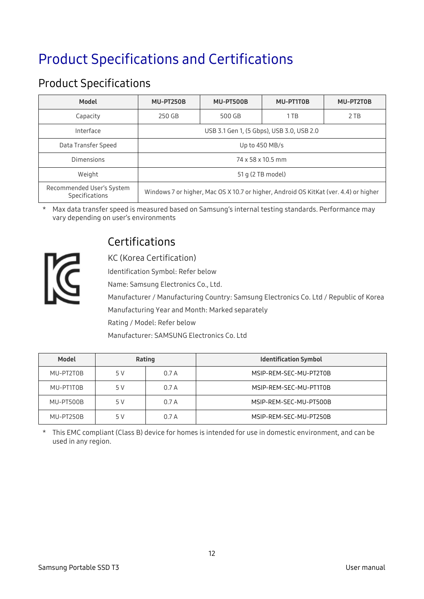# <span id="page-14-0"></span>Product Specifications and Certifications

### <span id="page-14-1"></span>Product Specifications

| <b>Model</b>                                | MU-PT250B                                                                            | MU-PT500B | MU-PT1T0B | MU-PT2T0B |
|---------------------------------------------|--------------------------------------------------------------------------------------|-----------|-----------|-----------|
| Capacity                                    | 250 GB                                                                               | 500 GB    | 1 TB      | 2 TB      |
| Interface                                   | USB 3.1 Gen 1, (5 Gbps), USB 3.0, USB 2.0                                            |           |           |           |
| Data Transfer Speed                         | Up to $450$ MB/s                                                                     |           |           |           |
| Dimensions                                  | 74 x 58 x 10.5 mm                                                                    |           |           |           |
| Weight                                      | 51 g (2 TB model)                                                                    |           |           |           |
| Recommended User's System<br>Specifications | Windows 7 or higher, Mac OS X 10.7 or higher, Android OS KitKat (ver. 4.4) or higher |           |           |           |

\* Max data transfer speed is measured based on Samsung's internal testing standards. Performance may vary depending on user's environments



### <span id="page-14-2"></span>Certifications

KC (Korea Certification)

Identification Symbol: Refer below

Name: Samsung Electronics Co., Ltd.

Manufacturer / Manufacturing Country: Samsung Electronics Co. Ltd / Republic of Korea Manufacturing Year and Month: Marked separately

Rating / Model: Refer below

Manufacturer: SAMSUNG Electronics Co. Ltd

| <b>Model</b> | Rating |       | <b>Identification Symbol</b> |
|--------------|--------|-------|------------------------------|
| MU-PT2T0B    | 5 V    | 0.7A  | MSIP-REM-SEC-MU-PT2T0B       |
| MU-PT1T0B    | 5 V    | 0.7A  | MSIP-REM-SEC-MU-PT1T0B       |
| MU-PT500B    | 5 V    | 0.7A  | MSIP-REM-SEC-MU-PT500B       |
| MU-PT250B    | 5 V    | 0.7 A | MSIP-REM-SEC-MU-PT250B       |

\* This EMC compliant (Class B) device for homes is intended for use in domestic environment, and can be used in any region.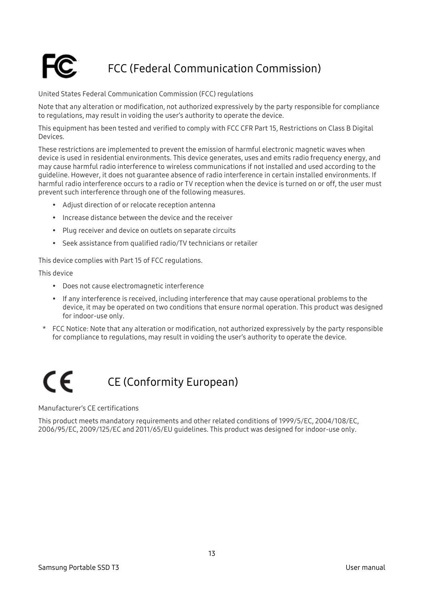### <span id="page-15-0"></span>FCC (Federal Communication Commission)

United States Federal Communication Commission (FCC) regulations

Note that any alteration or modification, not authorized expressively by the party responsible for compliance to regulations, may result in voiding the user's authority to operate the device.

This equipment has been tested and verified to comply with FCC CFR Part 15, Restrictions on Class B Digital Devices.

These restrictions are implemented to prevent the emission of harmful electronic magnetic waves when device is used in residential environments. This device generates, uses and emits radio frequency energy, and may cause harmful radio interference to wireless communications if not installed and used according to the guideline. However, it does not guarantee absence of radio interference in certain installed environments. If harmful radio interference occurs to a radio or TV reception when the device is turned on or off, the user must prevent such interference through one of the following measures.

- Adjust direction of or relocate reception antenna
- Increase distance between the device and the receiver
- Plug receiver and device on outlets on separate circuits
- Seek assistance from qualified radio/TV technicians or retailer

This device complies with Part 15 of FCC regulations.

This device

- Does not cause electromagnetic interference
- If any interference is received, including interference that may cause operational problems to the device, it may be operated on two conditions that ensure normal operation. This product was designed for indoor-use only.
- \* FCC Notice: Note that any alteration or modification, not authorized expressively by the party responsible for compliance to regulations, may result in voiding the user's authority to operate the device.

<span id="page-15-1"></span>

Manufacturer's CE certifications

This product meets mandatory requirements and other related conditions of 1999/5/EC, 2004/108/EC, 2006/95/EC, 2009/125/EC and 2011/65/EU guidelines. This product was designed for indoor-use only.